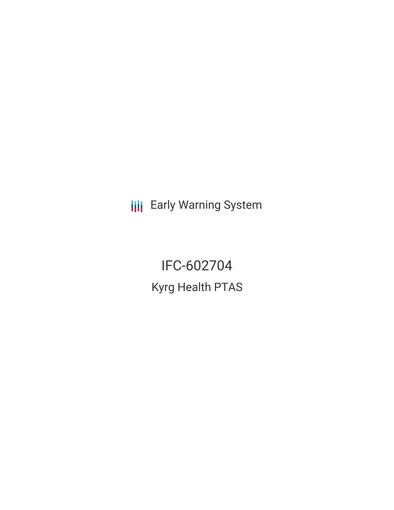**III** Early Warning System

IFC-602704 Kyrg Health PTAS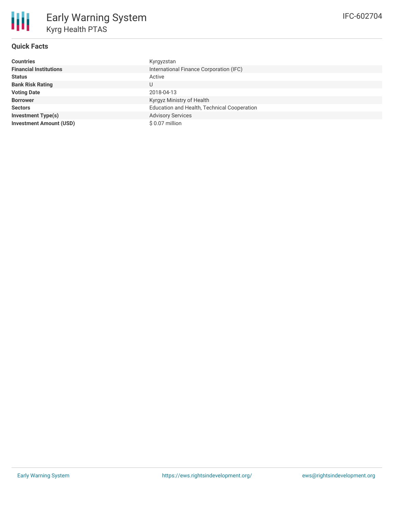

## **Quick Facts**

| <b>Countries</b>               | Kyrgyzstan                                  |
|--------------------------------|---------------------------------------------|
| <b>Financial Institutions</b>  | International Finance Corporation (IFC)     |
| <b>Status</b>                  | Active                                      |
| <b>Bank Risk Rating</b>        | U                                           |
| <b>Voting Date</b>             | 2018-04-13                                  |
| <b>Borrower</b>                | Kyrgyz Ministry of Health                   |
| <b>Sectors</b>                 | Education and Health, Technical Cooperation |
| <b>Investment Type(s)</b>      | <b>Advisory Services</b>                    |
| <b>Investment Amount (USD)</b> | \$0.07 million                              |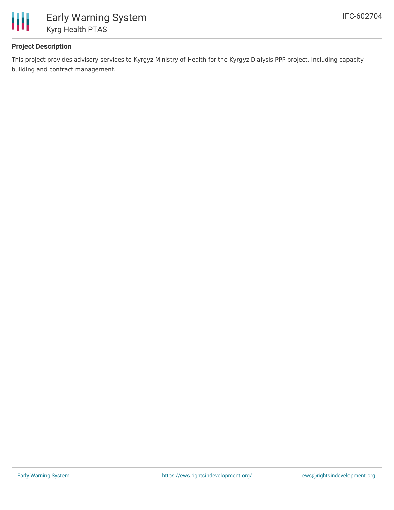

# **Project Description**

This project provides advisory services to Kyrgyz Ministry of Health for the Kyrgyz Dialysis PPP project, including capacity building and contract management.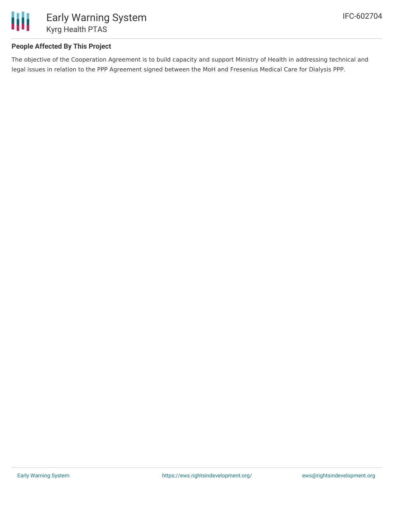

# **People Affected By This Project**

The objective of the Cooperation Agreement is to build capacity and support Ministry of Health in addressing technical and legal issues in relation to the PPP Agreement signed between the MoH and Fresenius Medical Care for Dialysis PPP.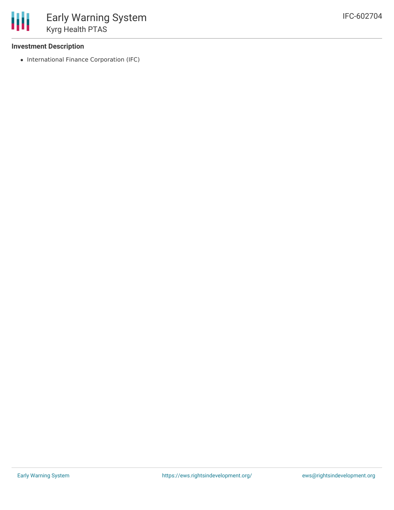### **Investment Description**

• International Finance Corporation (IFC)